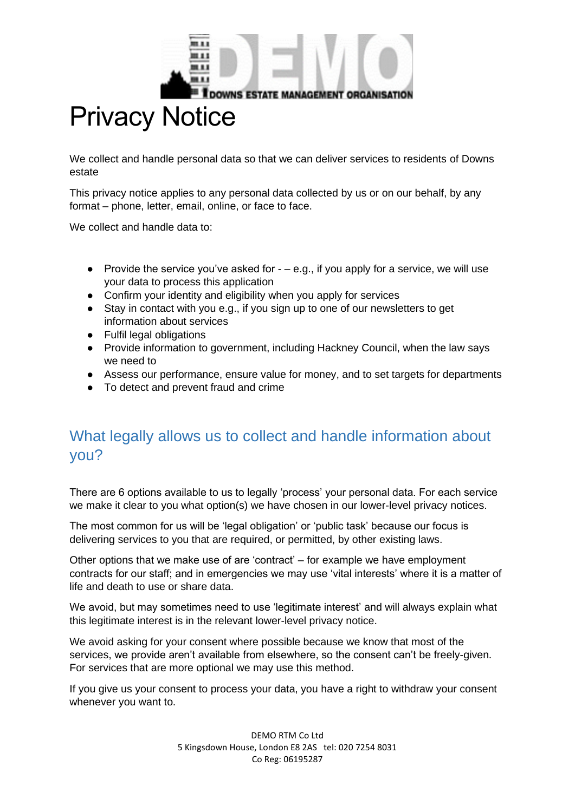

# Privacy Notice

We collect and handle personal data so that we can deliver services to residents of Downs estate

This privacy notice applies to any personal data collected by us or on our behalf, by any format – phone, letter, email, online, or face to face.

We collect and handle data to:

- Provide the service you've asked for  $-$  e.g., if you apply for a service, we will use your data to process this application
- Confirm your identity and eligibility when you apply for services
- Stay in contact with you e.g., if you sign up to one of our newsletters to get information about services
- Fulfil legal obligations
- Provide information to government, including Hackney Council, when the law says we need to
- Assess our performance, ensure value for money, and to set targets for departments
- To detect and prevent fraud and crime

## What legally allows us to collect and handle information about you?

There are 6 options available to us to legally 'process' your personal data. For each service we make it clear to you what option(s) we have chosen in our lower-level privacy notices.

The most common for us will be 'legal obligation' or 'public task' because our focus is delivering services to you that are required, or permitted, by other existing laws.

Other options that we make use of are 'contract' – for example we have employment contracts for our staff; and in emergencies we may use 'vital interests' where it is a matter of life and death to use or share data.

We avoid, but may sometimes need to use 'legitimate interest' and will always explain what this legitimate interest is in the relevant lower-level privacy notice.

We avoid asking for your consent where possible because we know that most of the services, we provide aren't available from elsewhere, so the consent can't be freely-given. For services that are more optional we may use this method.

If you give us your consent to process your data, you have a right to withdraw your consent whenever you want to.

> DEMO RTM Co Ltd 5 Kingsdown House, London E8 2AS tel: 020 7254 8031 Co Reg: 06195287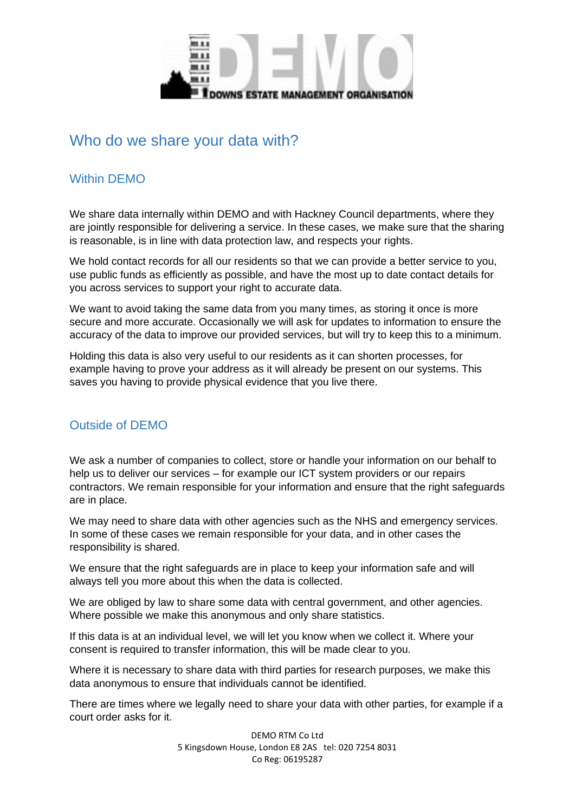

### Who do we share your data with?

#### Within DEMO

We share data internally within DEMO and with Hackney Council departments, where they are jointly responsible for delivering a service. In these cases, we make sure that the sharing is reasonable, is in line with data protection law, and respects your rights.

We hold contact records for all our residents so that we can provide a better service to you, use public funds as efficiently as possible, and have the most up to date contact details for you across services to support your right to accurate data.

We want to avoid taking the same data from you many times, as storing it once is more secure and more accurate. Occasionally we will ask for updates to information to ensure the accuracy of the data to improve our provided services, but will try to keep this to a minimum.

Holding this data is also very useful to our residents as it can shorten processes, for example having to prove your address as it will already be present on our systems. This saves you having to provide physical evidence that you live there.

#### Outside of DEMO

We ask a number of companies to collect, store or handle your information on our behalf to help us to deliver our services – for example our ICT system providers or our repairs contractors. We remain responsible for your information and ensure that the right safeguards are in place.

We may need to share data with other agencies such as the NHS and emergency services. In some of these cases we remain responsible for your data, and in other cases the responsibility is shared.

We ensure that the right safeguards are in place to keep your information safe and will always tell you more about this when the data is collected.

We are obliged by law to share some data with central government, and other agencies. Where possible we make this anonymous and only share statistics.

If this data is at an individual level, we will let you know when we collect it. Where your consent is required to transfer information, this will be made clear to you.

Where it is necessary to share data with third parties for research purposes, we make this data anonymous to ensure that individuals cannot be identified.

There are times where we legally need to share your data with other parties, for example if a court order asks for it.

> DEMO RTM Co Ltd 5 Kingsdown House, London E8 2AS tel: 020 7254 8031 Co Reg: 06195287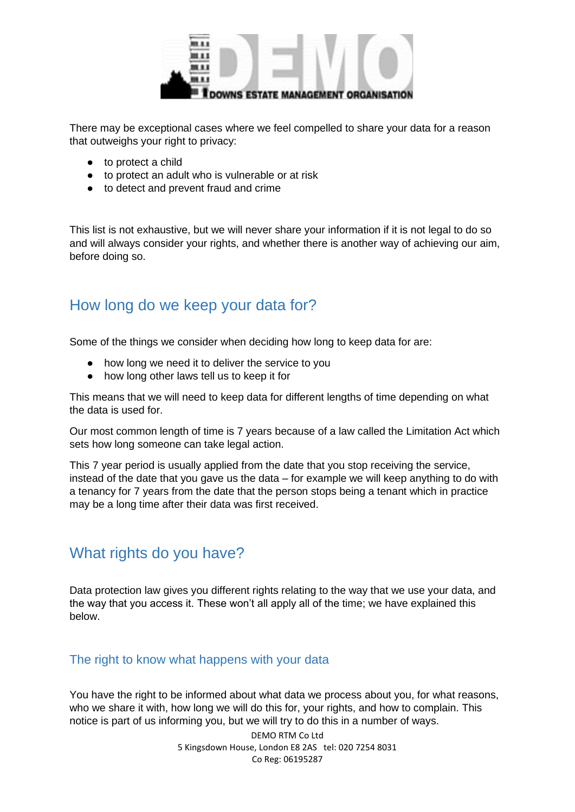

There may be exceptional cases where we feel compelled to share your data for a reason that outweighs your right to privacy:

- to protect a child
- to protect an adult who is vulnerable or at risk
- to detect and prevent fraud and crime

This list is not exhaustive, but we will never share your information if it is not legal to do so and will always consider your rights, and whether there is another way of achieving our aim, before doing so.

## How long do we keep your data for?

Some of the things we consider when deciding how long to keep data for are:

- how long we need it to deliver the service to you
- how long other laws tell us to keep it for

This means that we will need to keep data for different lengths of time depending on what the data is used for.

Our most common length of time is 7 years because of a law called the Limitation Act which sets how long someone can take legal action.

This 7 year period is usually applied from the date that you stop receiving the service, instead of the date that you gave us the data – for example we will keep anything to do with a tenancy for 7 years from the date that the person stops being a tenant which in practice may be a long time after their data was first received.

## What rights do you have?

Data protection law gives you different rights relating to the way that we use your data, and the way that you access it. These won't all apply all of the time; we have explained this below.

#### The right to know what happens with your data

You have the right to be informed about what data we process about you, for what reasons, who we share it with, how long we will do this for, your rights, and how to complain. This notice is part of us informing you, but we will try to do this in a number of ways.

> DEMO RTM Co Ltd 5 Kingsdown House, London E8 2AS tel: 020 7254 8031 Co Reg: 06195287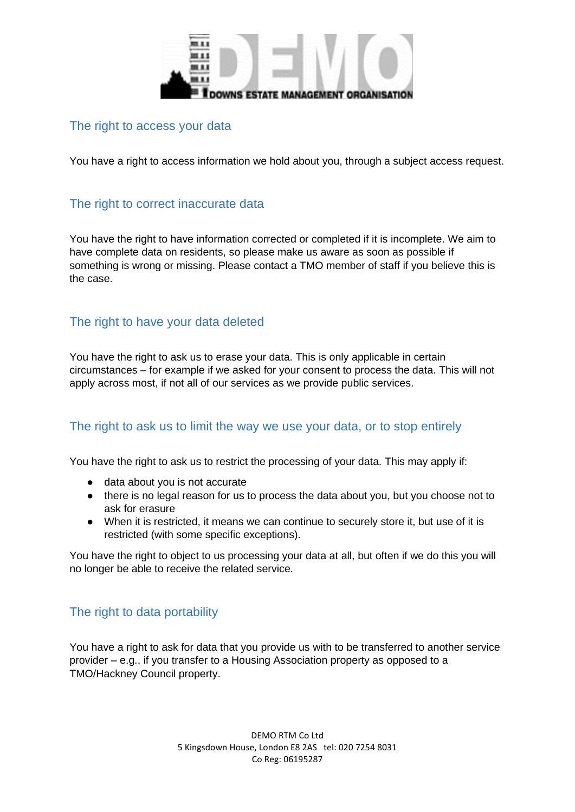

#### The right to access your data

You have a right to access information we hold about you, through a subject access request.

#### The right to correct inaccurate data

You have the right to have information corrected or completed if it is incomplete. We aim to have complete data on residents, so please make us aware as soon as possible if something is wrong or missing. Please contact a TMO member of staff if you believe this is the case.

#### The right to have your data deleted

You have the right to ask us to erase your data. This is only applicable in certain circumstances – for example if we asked for your consent to process the data. This will not apply across most, if not all of our services as we provide public services.

#### The right to ask us to limit the way we use your data, or to stop entirely

You have the right to ask us to restrict the processing of your data. This may apply if:

- data about you is not accurate
- there is no legal reason for us to process the data about you, but you choose not to ask for erasure
- When it is restricted, it means we can continue to securely store it, but use of it is restricted (with some specific exceptions).

You have the right to object to us processing your data at all, but often if we do this you will no longer be able to receive the related service.

#### The right to data portability

You have a right to ask for data that you provide us with to be transferred to another service provider – e.g., if you transfer to a Housing Association property as opposed to a TMO/Hackney Council property.